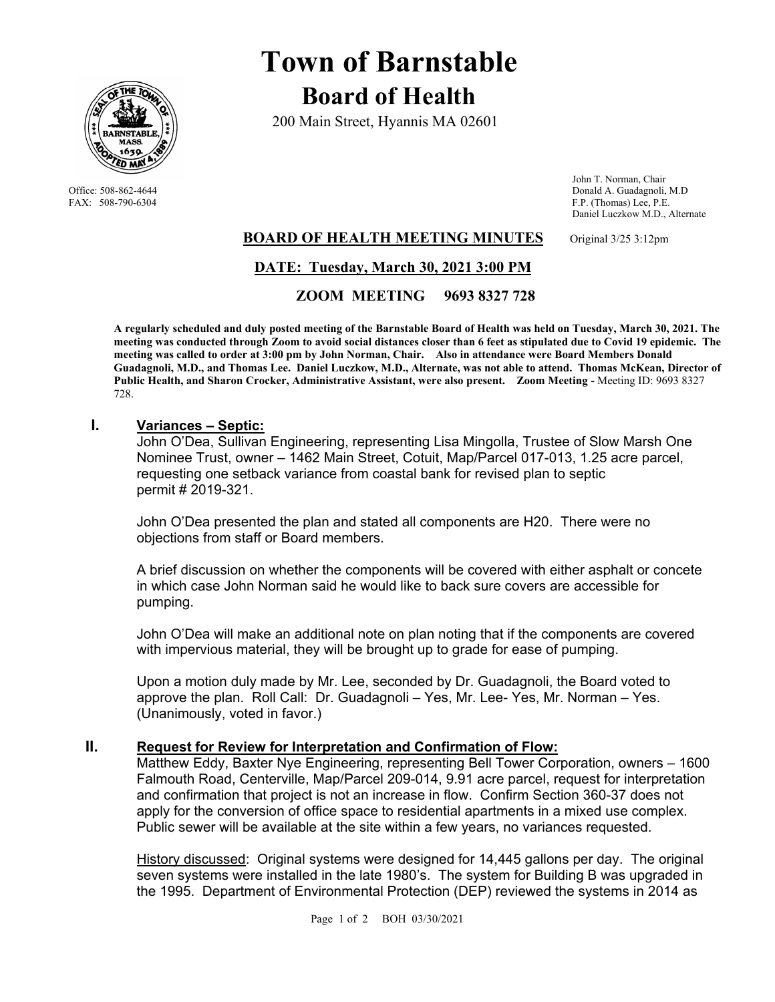

# **Town of Barnstable Board of Health**

200 Main Street, Hyannis MA 02601

 John T. Norman, Chair Office: 508-862-4644 Donald A. Guadagnoli, M.D<br>
FAX: 508-790-6304 FAX: 508-790-6304 FAX: 508-790-6304 F.P. (Thomas) Lee, P.E. Daniel Luczkow M.D., Alternate

## **BOARD OF HEALTH MEETING MINUTES** Original 3/25 3:12pm

# **DATE: Tuesday, March 30, 2021 3:00 PM**

 **ZOOM MEETING 9693 8327 728**

**A regularly scheduled and duly posted meeting of the Barnstable Board of Health was held on Tuesday, March 30, 2021. The meeting was conducted through Zoom to avoid social distances closer than 6 feet as stipulated due to Covid 19 epidemic. The meeting was called to order at 3:00 pm by John Norman, Chair. Also in attendance were Board Members Donald Guadagnoli, M.D., and Thomas Lee. Daniel Luczkow, M.D., Alternate, was not able to attend. Thomas McKean, Director of**  Public Health, and Sharon Crocker, Administrative Assistant, were also present. Zoom Meeting - Meeting ID: 9693 8327 728.

## **I. Variances – Septic:**

John O'Dea, Sullivan Engineering, representing Lisa Mingolla, Trustee of Slow Marsh One Nominee Trust, owner – 1462 Main Street, Cotuit, Map/Parcel 017-013, 1.25 acre parcel, requesting one setback variance from coastal bank for revised plan to septic permit # 2019-321.

John O'Dea presented the plan and stated all components are H20. There were no objections from staff or Board members.

A brief discussion on whether the components will be covered with either asphalt or concete in which case John Norman said he would like to back sure covers are accessible for pumping.

John O'Dea will make an additional note on plan noting that if the components are covered with impervious material, they will be brought up to grade for ease of pumping.

Upon a motion duly made by Mr. Lee, seconded by Dr. Guadagnoli, the Board voted to approve the plan. Roll Call: Dr. Guadagnoli – Yes, Mr. Lee- Yes, Mr. Norman – Yes. (Unanimously, voted in favor.)

## **II. Request for Review for Interpretation and Confirmation of Flow:**

Matthew Eddy, Baxter Nye Engineering, representing Bell Tower Corporation, owners – 1600 Falmouth Road, Centerville, Map/Parcel 209-014, 9.91 acre parcel, request for interpretation and confirmation that project is not an increase in flow. Confirm Section 360-37 does not apply for the conversion of office space to residential apartments in a mixed use complex. Public sewer will be available at the site within a few years, no variances requested.

History discussed: Original systems were designed for 14,445 gallons per day. The original seven systems were installed in the late 1980's. The system for Building B was upgraded in the 1995. Department of Environmental Protection (DEP) reviewed the systems in 2014 as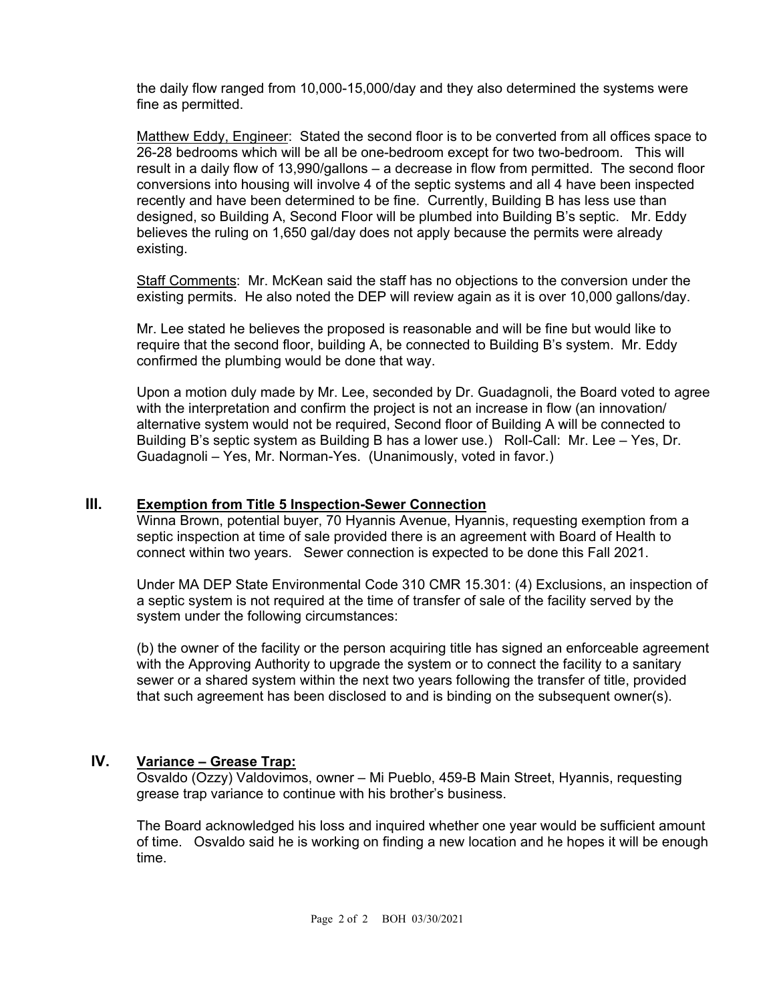the daily flow ranged from 10,000-15,000/day and they also determined the systems were fine as permitted.

Matthew Eddy, Engineer: Stated the second floor is to be converted from all offices space to 26-28 bedrooms which will be all be one-bedroom except for two two-bedroom. This will result in a daily flow of 13,990/gallons – a decrease in flow from permitted. The second floor conversions into housing will involve 4 of the septic systems and all 4 have been inspected recently and have been determined to be fine. Currently, Building B has less use than designed, so Building A, Second Floor will be plumbed into Building B's septic. Mr. Eddy believes the ruling on 1,650 gal/day does not apply because the permits were already existing.

Staff Comments: Mr. McKean said the staff has no objections to the conversion under the existing permits. He also noted the DEP will review again as it is over 10,000 gallons/day.

Mr. Lee stated he believes the proposed is reasonable and will be fine but would like to require that the second floor, building A, be connected to Building B's system. Mr. Eddy confirmed the plumbing would be done that way.

Upon a motion duly made by Mr. Lee, seconded by Dr. Guadagnoli, the Board voted to agree with the interpretation and confirm the project is not an increase in flow (an innovation/ alternative system would not be required, Second floor of Building A will be connected to Building B's septic system as Building B has a lower use.) Roll-Call: Mr. Lee – Yes, Dr. Guadagnoli – Yes, Mr. Norman-Yes. (Unanimously, voted in favor.)

## **III. Exemption from Title 5 Inspection-Sewer Connection**

Winna Brown, potential buyer, 70 Hyannis Avenue, Hyannis, requesting exemption from a septic inspection at time of sale provided there is an agreement with Board of Health to connect within two years. Sewer connection is expected to be done this Fall 2021.

Under MA DEP State Environmental Code 310 CMR 15.301: (4) Exclusions, an inspection of a septic system is not required at the time of transfer of sale of the facility served by the system under the following circumstances:

(b) the owner of the facility or the person acquiring title has signed an enforceable agreement with the Approving Authority to upgrade the system or to connect the facility to a sanitary sewer or a shared system within the next two years following the transfer of title, provided that such agreement has been disclosed to and is binding on the subsequent owner(s).

# **IV. Variance – Grease Trap:**

Osvaldo (Ozzy) Valdovimos, owner – Mi Pueblo, 459-B Main Street, Hyannis, requesting grease trap variance to continue with his brother's business.

The Board acknowledged his loss and inquired whether one year would be sufficient amount of time. Osvaldo said he is working on finding a new location and he hopes it will be enough time.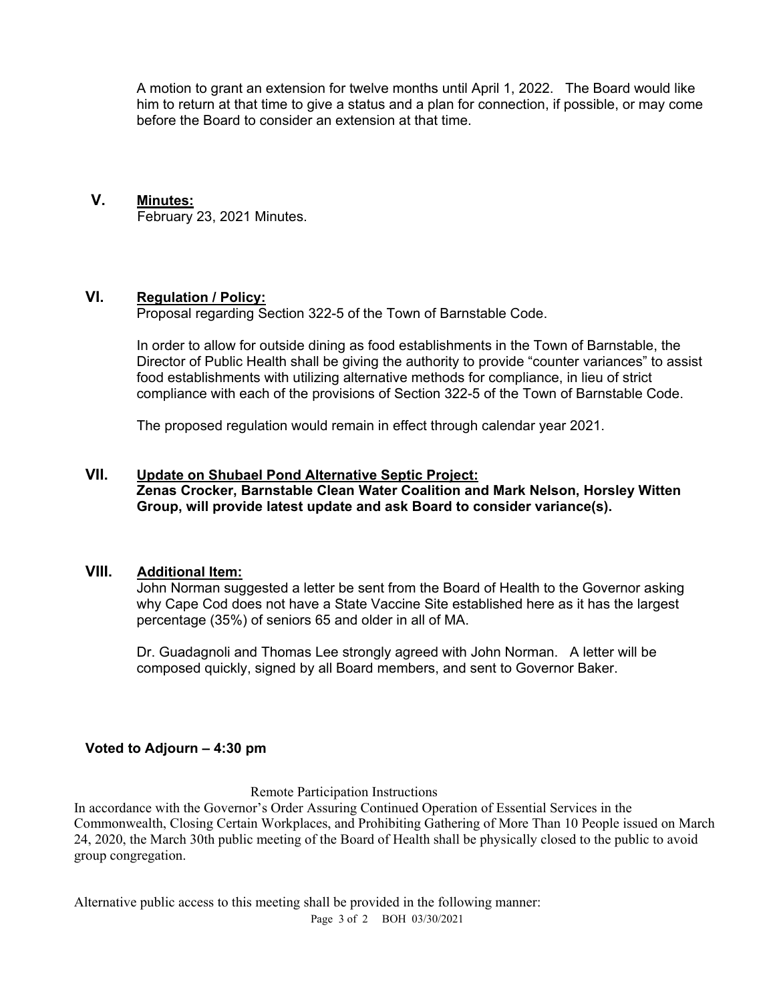A motion to grant an extension for twelve months until April 1, 2022. The Board would like him to return at that time to give a status and a plan for connection, if possible, or may come before the Board to consider an extension at that time.

#### **V. Minutes:**

February 23, 2021 Minutes.

## **VI. Regulation / Policy:**

Proposal regarding Section 322-5 of the Town of Barnstable Code.

In order to allow for outside dining as food establishments in the Town of Barnstable, the Director of Public Health shall be giving the authority to provide "counter variances" to assist food establishments with utilizing alternative methods for compliance, in lieu of strict compliance with each of the provisions of Section 322-5 of the Town of Barnstable Code.

The proposed regulation would remain in effect through calendar year 2021.

## **VII. Update on Shubael Pond Alternative Septic Project: Zenas Crocker, Barnstable Clean Water Coalition and Mark Nelson, Horsley Witten Group, will provide latest update and ask Board to consider variance(s).**

#### **VIII. Additional Item:**

John Norman suggested a letter be sent from the Board of Health to the Governor asking why Cape Cod does not have a State Vaccine Site established here as it has the largest percentage (35%) of seniors 65 and older in all of MA.

Dr. Guadagnoli and Thomas Lee strongly agreed with John Norman. A letter will be composed quickly, signed by all Board members, and sent to Governor Baker.

## **Voted to Adjourn – 4:30 pm**

Remote Participation Instructions

In accordance with the Governor's Order Assuring Continued Operation of Essential Services in the Commonwealth, Closing Certain Workplaces, and Prohibiting Gathering of More Than 10 People issued on March 24, 2020, the March 30th public meeting of the Board of Health shall be physically closed to the public to avoid group congregation.

Alternative public access to this meeting shall be provided in the following manner:

Page 3 of 2 BOH 03/30/2021